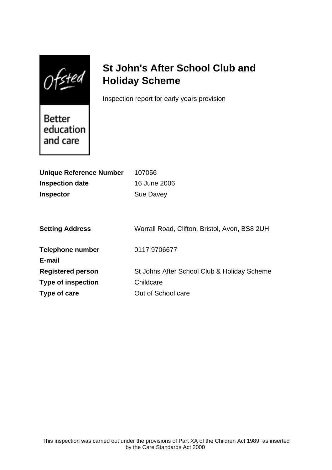Ofsted

# **St John's After School Club and Holiday Scheme**

Inspection report for early years provision

Better education and care

| <b>Unique Reference Number</b> | 107056                                        |
|--------------------------------|-----------------------------------------------|
| <b>Inspection date</b>         | 16 June 2006                                  |
| <b>Inspector</b>               | Sue Davey                                     |
|                                |                                               |
|                                |                                               |
| <b>Setting Address</b>         | Worrall Road, Clifton, Bristol, Avon, BS8 2UH |
|                                |                                               |
| Telephone number               | 0117 9706677                                  |
| E-mail                         |                                               |
| <b>Registered person</b>       | St Johns After School Club & Holiday Scheme   |
| <b>Type of inspection</b>      | Childcare                                     |
| Type of care                   | Out of School care                            |
|                                |                                               |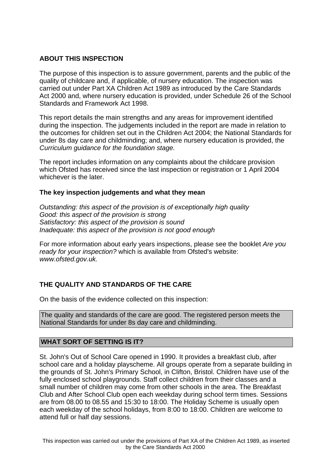## **ABOUT THIS INSPECTION**

The purpose of this inspection is to assure government, parents and the public of the quality of childcare and, if applicable, of nursery education. The inspection was carried out under Part XA Children Act 1989 as introduced by the Care Standards Act 2000 and, where nursery education is provided, under Schedule 26 of the School Standards and Framework Act 1998.

This report details the main strengths and any areas for improvement identified during the inspection. The judgements included in the report are made in relation to the outcomes for children set out in the Children Act 2004; the National Standards for under 8s day care and childminding; and, where nursery education is provided, the Curriculum guidance for the foundation stage.

The report includes information on any complaints about the childcare provision which Ofsted has received since the last inspection or registration or 1 April 2004 whichever is the later.

## **The key inspection judgements and what they mean**

Outstanding: this aspect of the provision is of exceptionally high quality Good: this aspect of the provision is strong Satisfactory: this aspect of the provision is sound Inadequate: this aspect of the provision is not good enough

For more information about early years inspections, please see the booklet Are you ready for your inspection? which is available from Ofsted's website: www.ofsted.gov.uk.

# **THE QUALITY AND STANDARDS OF THE CARE**

On the basis of the evidence collected on this inspection:

The quality and standards of the care are good. The registered person meets the National Standards for under 8s day care and childminding.

## **WHAT SORT OF SETTING IS IT?**

St. John's Out of School Care opened in 1990. It provides a breakfast club, after school care and a holiday playscheme. All groups operate from a separate building in the grounds of St. John's Primary School, in Clifton, Bristol. Children have use of the fully enclosed school playgrounds. Staff collect children from their classes and a small number of children may come from other schools in the area. The Breakfast Club and After School Club open each weekday during school term times. Sessions are from 08.00 to 08.55 and 15:30 to 18:00. The Holiday Scheme is usually open each weekday of the school holidays, from 8:00 to 18:00. Children are welcome to attend full or half day sessions.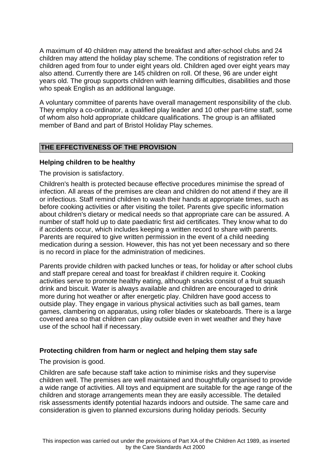A maximum of 40 children may attend the breakfast and after-school clubs and 24 children may attend the holiday play scheme. The conditions of registration refer to children aged from four to under eight years old. Children aged over eight years may also attend. Currently there are 145 children on roll. Of these, 96 are under eight years old. The group supports children with learning difficulties, disabilities and those who speak English as an additional language.

A voluntary committee of parents have overall management responsibility of the club. They employ a co-ordinator, a qualified play leader and 10 other part-time staff, some of whom also hold appropriate childcare qualifications. The group is an affiliated member of Band and part of Bristol Holiday Play schemes.

# **THE EFFECTIVENESS OF THE PROVISION**

#### **Helping children to be healthy**

The provision is satisfactory.

Children's health is protected because effective procedures minimise the spread of infection. All areas of the premises are clean and children do not attend if they are ill or infectious. Staff remind children to wash their hands at appropriate times, such as before cooking activities or after visiting the toilet. Parents give specific information about children's dietary or medical needs so that appropriate care can be assured. A number of staff hold up to date paediatric first aid certificates. They know what to do if accidents occur, which includes keeping a written record to share with parents. Parents are required to give written permission in the event of a child needing medication during a session. However, this has not yet been necessary and so there is no record in place for the administration of medicines.

Parents provide children with packed lunches or teas, for holiday or after school clubs and staff prepare cereal and toast for breakfast if children require it. Cooking activities serve to promote healthy eating, although snacks consist of a fruit squash drink and biscuit. Water is always available and children are encouraged to drink more during hot weather or after energetic play. Children have good access to outside play. They engage in various physical activities such as ball games, team games, clambering on apparatus, using roller blades or skateboards. There is a large covered area so that children can play outside even in wet weather and they have use of the school hall if necessary.

#### **Protecting children from harm or neglect and helping them stay safe**

The provision is good.

Children are safe because staff take action to minimise risks and they supervise children well. The premises are well maintained and thoughtfully organised to provide a wide range of activities. All toys and equipment are suitable for the age range of the children and storage arrangements mean they are easily accessible. The detailed risk assessments identify potential hazards indoors and outside. The same care and consideration is given to planned excursions during holiday periods. Security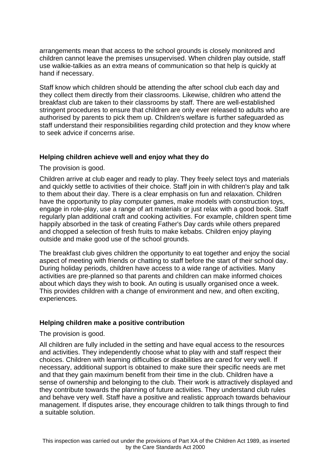arrangements mean that access to the school grounds is closely monitored and children cannot leave the premises unsupervised. When children play outside, staff use walkie-talkies as an extra means of communication so that help is quickly at hand if necessary.

Staff know which children should be attending the after school club each day and they collect them directly from their classrooms. Likewise, children who attend the breakfast club are taken to their classrooms by staff. There are well-established stringent procedures to ensure that children are only ever released to adults who are authorised by parents to pick them up. Children's welfare is further safeguarded as staff understand their responsibilities regarding child protection and they know where to seek advice if concerns arise.

#### **Helping children achieve well and enjoy what they do**

The provision is good.

Children arrive at club eager and ready to play. They freely select toys and materials and quickly settle to activities of their choice. Staff join in with children's play and talk to them about their day. There is a clear emphasis on fun and relaxation. Children have the opportunity to play computer games, make models with construction toys, engage in role-play, use a range of art materials or just relax with a good book. Staff regularly plan additional craft and cooking activities. For example, children spent time happily absorbed in the task of creating Father's Day cards while others prepared and chopped a selection of fresh fruits to make kebabs. Children enjoy playing outside and make good use of the school grounds.

The breakfast club gives children the opportunity to eat together and enjoy the social aspect of meeting with friends or chatting to staff before the start of their school day. During holiday periods, children have access to a wide range of activities. Many activities are pre-planned so that parents and children can make informed choices about which days they wish to book. An outing is usually organised once a week. This provides children with a change of environment and new, and often exciting, experiences.

#### **Helping children make a positive contribution**

The provision is good.

All children are fully included in the setting and have equal access to the resources and activities. They independently choose what to play with and staff respect their choices. Children with learning difficulties or disabilities are cared for very well. If necessary, additional support is obtained to make sure their specific needs are met and that they gain maximum benefit from their time in the club. Children have a sense of ownership and belonging to the club. Their work is attractively displayed and they contribute towards the planning of future activities. They understand club rules and behave very well. Staff have a positive and realistic approach towards behaviour management. If disputes arise, they encourage children to talk things through to find a suitable solution.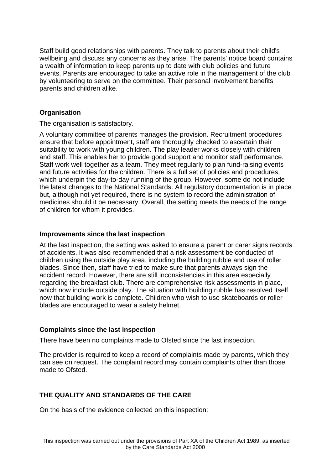Staff build good relationships with parents. They talk to parents about their child's wellbeing and discuss any concerns as they arise. The parents' notice board contains a wealth of information to keep parents up to date with club policies and future events. Parents are encouraged to take an active role in the management of the club by volunteering to serve on the committee. Their personal involvement benefits parents and children alike.

# **Organisation**

The organisation is satisfactory.

A voluntary committee of parents manages the provision. Recruitment procedures ensure that before appointment, staff are thoroughly checked to ascertain their suitability to work with young children. The play leader works closely with children and staff. This enables her to provide good support and monitor staff performance. Staff work well together as a team. They meet regularly to plan fund-raising events and future activities for the children. There is a full set of policies and procedures, which underpin the day-to-day running of the group. However, some do not include the latest changes to the National Standards. All regulatory documentation is in place but, although not yet required, there is no system to record the administration of medicines should it be necessary. Overall, the setting meets the needs of the range of children for whom it provides.

#### **Improvements since the last inspection**

At the last inspection, the setting was asked to ensure a parent or carer signs records of accidents. It was also recommended that a risk assessment be conducted of children using the outside play area, including the building rubble and use of roller blades. Since then, staff have tried to make sure that parents always sign the accident record. However, there are still inconsistencies in this area especially regarding the breakfast club. There are comprehensive risk assessments in place, which now include outside play. The situation with building rubble has resolved itself now that building work is complete. Children who wish to use skateboards or roller blades are encouraged to wear a safety helmet.

## **Complaints since the last inspection**

There have been no complaints made to Ofsted since the last inspection.

The provider is required to keep a record of complaints made by parents, which they can see on request. The complaint record may contain complaints other than those made to Ofsted.

# **THE QUALITY AND STANDARDS OF THE CARE**

On the basis of the evidence collected on this inspection: